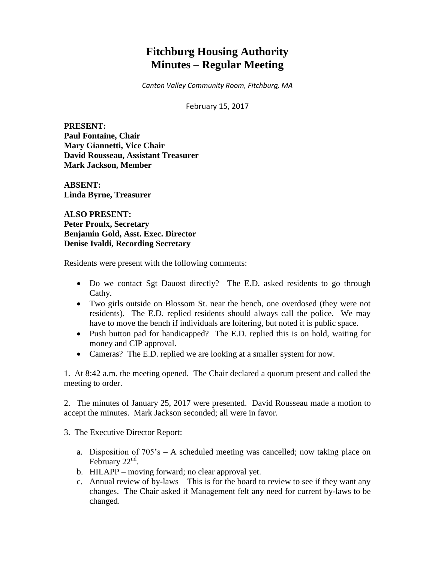# **Fitchburg Housing Authority Minutes – Regular Meeting**

*Canton Valley Community Room, Fitchburg, MA*

February 15, 2017

**PRESENT: Paul Fontaine, Chair Mary Giannetti, Vice Chair David Rousseau, Assistant Treasurer Mark Jackson, Member**

**ABSENT: Linda Byrne, Treasurer**

**ALSO PRESENT: Peter Proulx, Secretary Benjamin Gold, Asst. Exec. Director Denise Ivaldi, Recording Secretary**

Residents were present with the following comments:

- Do we contact Sgt Dauost directly? The E.D. asked residents to go through Cathy.
- Two girls outside on Blossom St. near the bench, one overdosed (they were not residents). The E.D. replied residents should always call the police. We may have to move the bench if individuals are loitering, but noted it is public space.
- Push button pad for handicapped? The E.D. replied this is on hold, waiting for money and CIP approval.
- Cameras? The E.D. replied we are looking at a smaller system for now.

1. At 8:42 a.m. the meeting opened. The Chair declared a quorum present and called the meeting to order.

2. The minutes of January 25, 2017 were presented. David Rousseau made a motion to accept the minutes. Mark Jackson seconded; all were in favor.

3. The Executive Director Report:

- a. Disposition of 705's A scheduled meeting was cancelled; now taking place on February  $22<sup>nd</sup>$ .
- b. HILAPP moving forward; no clear approval yet.
- c. Annual review of by-laws This is for the board to review to see if they want any changes. The Chair asked if Management felt any need for current by-laws to be changed.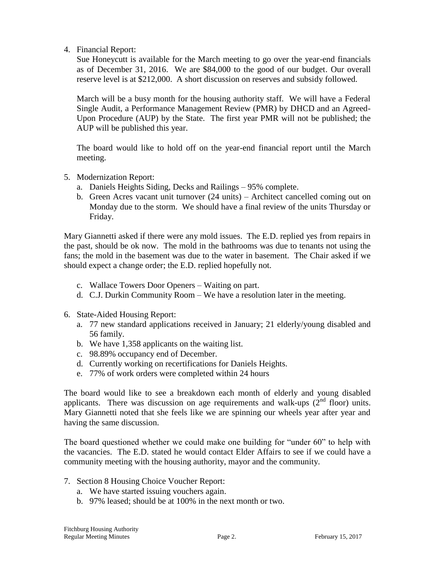4. Financial Report:

Sue Honeycutt is available for the March meeting to go over the year-end financials as of December 31, 2016. We are \$84,000 to the good of our budget. Our overall reserve level is at \$212,000. A short discussion on reserves and subsidy followed.

March will be a busy month for the housing authority staff. We will have a Federal Single Audit, a Performance Management Review (PMR) by DHCD and an Agreed-Upon Procedure (AUP) by the State. The first year PMR will not be published; the AUP will be published this year.

The board would like to hold off on the year-end financial report until the March meeting.

- 5. Modernization Report:
	- a. Daniels Heights Siding, Decks and Railings 95% complete.
	- b. Green Acres vacant unit turnover (24 units) Architect cancelled coming out on Monday due to the storm. We should have a final review of the units Thursday or Friday.

Mary Giannetti asked if there were any mold issues. The E.D. replied yes from repairs in the past, should be ok now. The mold in the bathrooms was due to tenants not using the fans; the mold in the basement was due to the water in basement. The Chair asked if we should expect a change order; the E.D. replied hopefully not.

- c. Wallace Towers Door Openers Waiting on part.
- d. C.J. Durkin Community Room We have a resolution later in the meeting.
- 6. State-Aided Housing Report:
	- a. 77 new standard applications received in January; 21 elderly/young disabled and 56 family.
	- b. We have 1,358 applicants on the waiting list.
	- c. 98.89% occupancy end of December.
	- d. Currently working on recertifications for Daniels Heights.
	- e. 77% of work orders were completed within 24 hours

The board would like to see a breakdown each month of elderly and young disabled applicants. There was discussion on age requirements and walk-ups  $(2^{nd}$  floor) units. Mary Giannetti noted that she feels like we are spinning our wheels year after year and having the same discussion.

The board questioned whether we could make one building for "under 60" to help with the vacancies. The E.D. stated he would contact Elder Affairs to see if we could have a community meeting with the housing authority, mayor and the community.

- 7. Section 8 Housing Choice Voucher Report:
	- a. We have started issuing vouchers again.
	- b. 97% leased; should be at 100% in the next month or two.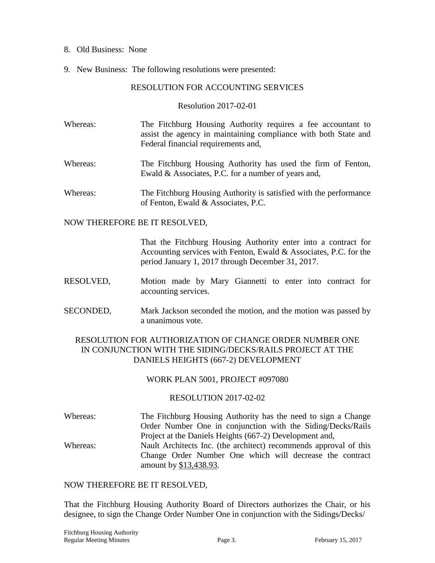#### 8. Old Business: None

9. New Business: The following resolutions were presented:

## RESOLUTION FOR ACCOUNTING SERVICES

Resolution 2017-02-01

- Whereas: The Fitchburg Housing Authority requires a fee accountant to assist the agency in maintaining compliance with both State and Federal financial requirements and,
- Whereas: The Fitchburg Housing Authority has used the firm of Fenton, Ewald & Associates, P.C. for a number of years and,
- Whereas: The Fitchburg Housing Authority is satisfied with the performance of Fenton, Ewald & Associates, P.C.

#### NOW THEREFORE BE IT RESOLVED,

That the Fitchburg Housing Authority enter into a contract for Accounting services with Fenton, Ewald & Associates, P.C. for the period January 1, 2017 through December 31, 2017.

- RESOLVED, Motion made by Mary Giannetti to enter into contract for accounting services.
- SECONDED, Mark Jackson seconded the motion, and the motion was passed by a unanimous vote.

# RESOLUTION FOR AUTHORIZATION OF CHANGE ORDER NUMBER ONE IN CONJUNCTION WITH THE SIDING/DECKS/RAILS PROJECT AT THE DANIELS HEIGHTS (667-2) DEVELOPMENT

### WORK PLAN 5001, PROJECT #097080

### RESOLUTION 2017-02-02

Whereas: The Fitchburg Housing Authority has the need to sign a Change Order Number One in conjunction with the Siding/Decks/Rails Project at the Daniels Heights (667-2) Development and, Whereas: Nault Architects Inc. (the architect) recommends approval of this Change Order Number One which will decrease the contract amount by \$13,438.93.

### NOW THEREFORE BE IT RESOLVED,

That the Fitchburg Housing Authority Board of Directors authorizes the Chair, or his designee, to sign the Change Order Number One in conjunction with the Sidings/Decks/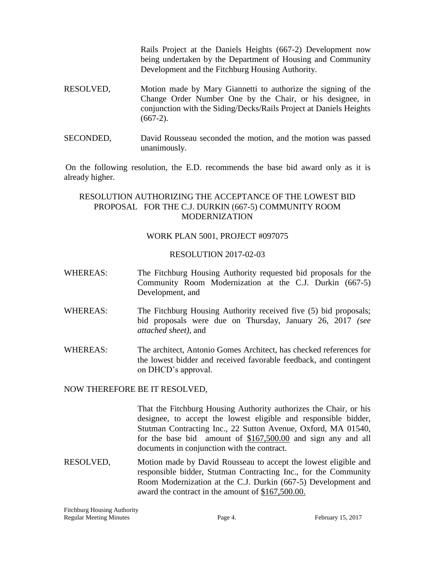Rails Project at the Daniels Heights (667-2) Development now being undertaken by the Department of Housing and Community Development and the Fitchburg Housing Authority.

- RESOLVED, Motion made by Mary Giannetti to authorize the signing of the Change Order Number One by the Chair, or his designee, in conjunction with the Siding/Decks/Rails Project at Daniels Heights  $(667-2)$ .
- SECONDED, David Rousseau seconded the motion, and the motion was passed unanimously.

On the following resolution, the E.D. recommends the base bid award only as it is already higher.

## RESOLUTION AUTHORIZING THE ACCEPTANCE OF THE LOWEST BID PROPOSAL FOR THE C.J. DURKIN (667-5) COMMUNITY ROOM MODERNIZATION

## WORK PLAN 5001, PROJECT #097075

### RESOLUTION 2017-02-03

- WHEREAS: The Fitchburg Housing Authority requested bid proposals for the Community Room Modernization at the C.J. Durkin (667-5) Development, and
- WHEREAS: The Fitchburg Housing Authority received five (5) bid proposals; bid proposals were due on Thursday, January 26, 2017 *(see attached sheet),* and
- WHEREAS: The architect, Antonio Gomes Architect, has checked references for the lowest bidder and received favorable feedback, and contingent on DHCD's approval.

### NOW THEREFORE BE IT RESOLVED,

That the Fitchburg Housing Authority authorizes the Chair, or his designee, to accept the lowest eligible and responsible bidder, Stutman Contracting Inc., 22 Sutton Avenue, Oxford, MA 01540, for the base bid amount of \$167,500.00 and sign any and all documents in conjunction with the contract.

RESOLVED, Motion made by David Rousseau to accept the lowest eligible and responsible bidder, Stutman Contracting Inc., for the Community Room Modernization at the C.J. Durkin (667-5) Development and award the contract in the amount of \$167,500.00.